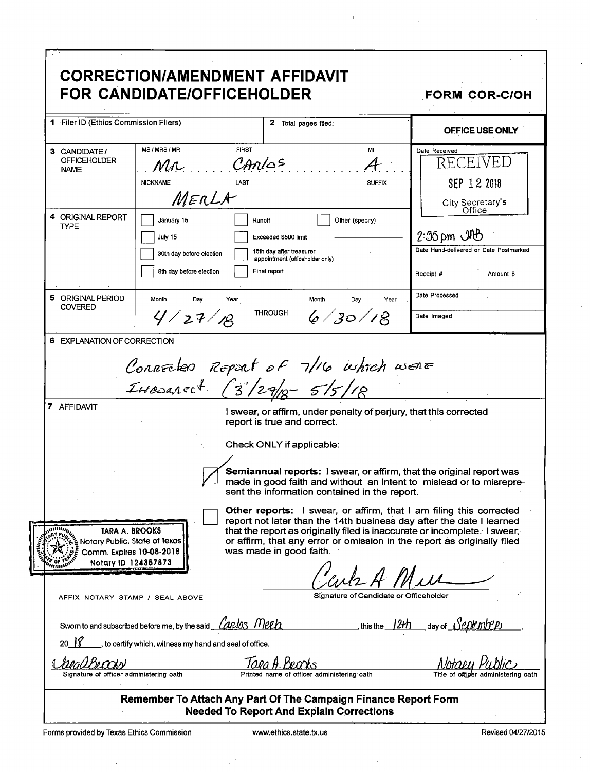|                                                                                                                             | <b>CORRECTION/AMENDMENT AFFIDAVIT</b><br><b>FOR CANDIDATE/OFFICEHOLDER</b>                                                 |                                                                            |                                                                                                                    | <b>FORM COR-C/OH</b>                                                                                                                                                                                                                                                                                                                                                             |
|-----------------------------------------------------------------------------------------------------------------------------|----------------------------------------------------------------------------------------------------------------------------|----------------------------------------------------------------------------|--------------------------------------------------------------------------------------------------------------------|----------------------------------------------------------------------------------------------------------------------------------------------------------------------------------------------------------------------------------------------------------------------------------------------------------------------------------------------------------------------------------|
| 1 Filer ID (Ethics Commission Filers)                                                                                       |                                                                                                                            |                                                                            | 2 Total pages filed:                                                                                               | OFFICE USE ONLY                                                                                                                                                                                                                                                                                                                                                                  |
| 3 CANDIDATE/<br><b>OFFICEHOLDER</b><br><b>NAME</b>                                                                          | MS/MRS/MR<br>Mr<br><b>NICKNAME</b><br>MERLA                                                                                | <b>FIRST</b><br>CANIOS<br>LAST                                             | MI<br>4<br><b>SUFFIX</b>                                                                                           | Date Received<br>RECEIVED<br>SEP 12 2018<br>City Secretary's<br>Office                                                                                                                                                                                                                                                                                                           |
| 4 ORIGINAL REPORT<br><b>TYPE</b>                                                                                            | January 15<br>July 15<br>30th day before election<br>8th day before election                                               | Runoff<br>Exceeded \$500 limit<br>15th day after treasurer<br>Final report | Other (specify)<br>appointment (officeholder only)                                                                 | $2:35 \,\mathrm{pm}$ $\mathrm{OHD}$<br>Date Hand-delivered or Date Postmarked<br>Receipt #<br>Amount \$                                                                                                                                                                                                                                                                          |
| 5 ORIGINAL PERIOD<br><b>COVERED</b>                                                                                         | Month<br>Day<br>4/27/18                                                                                                    | Year<br><b>THROUGH</b>                                                     | Month<br>Day<br>Year<br>6/30/18                                                                                    | Date Processed<br>Date Imaged                                                                                                                                                                                                                                                                                                                                                    |
| 7 AFFIDAVIT                                                                                                                 | IHODARECT. (3/29/10-5/5/18                                                                                                 | report is true and correct.<br>Check ONLY if applicable:                   | Connected Report of 7/16 which went<br>I swear, or affirm, under penalty of perjury, that this corrected           | Semiannual reports: I swear, or affirm, that the original report was                                                                                                                                                                                                                                                                                                             |
| <b>Willing</b><br>TARA A. BROOKS<br>Notary Public, State of Texas<br>Comm. Expires 10-08-2018<br>Notary ID 124357873<br>mmw |                                                                                                                            | was made in good faith.                                                    | sent the information contained in the report.                                                                      | made in good faith and without an intent to mislead or to misrepre-<br><b>Other reports:</b> I swear, or affirm, that I am filing this corrected<br>report not later than the 14th business day after the date I learned<br>that the report as originally filed is inaccurate or incomplete. I swear,<br>or affirm, that any error or omission in the report as originally filed |
| AFFIX NOTARY STAMP / SEAL ABOVE                                                                                             | Sworn to and subscribed before me, by the said <i>Landas</i> Menh<br>to certify which, witness my hand and seal of office. |                                                                            | Signature of Candidate or Officeholder<br>, this the $/2H$                                                         | day of <u>NeOkmrep</u>                                                                                                                                                                                                                                                                                                                                                           |
| Signature of officer administering oath                                                                                     |                                                                                                                            |                                                                            | Printed name of officer administering oath                                                                         |                                                                                                                                                                                                                                                                                                                                                                                  |
|                                                                                                                             |                                                                                                                            |                                                                            | Remember To Attach Any Part Of The Campaign Finance Report Form<br><b>Needed To Report And Explain Corrections</b> |                                                                                                                                                                                                                                                                                                                                                                                  |

 $\mathfrak{i}$ 

 $\bar{z}$ 

 $\hat{\boldsymbol{\beta}}$ 

 $\epsilon$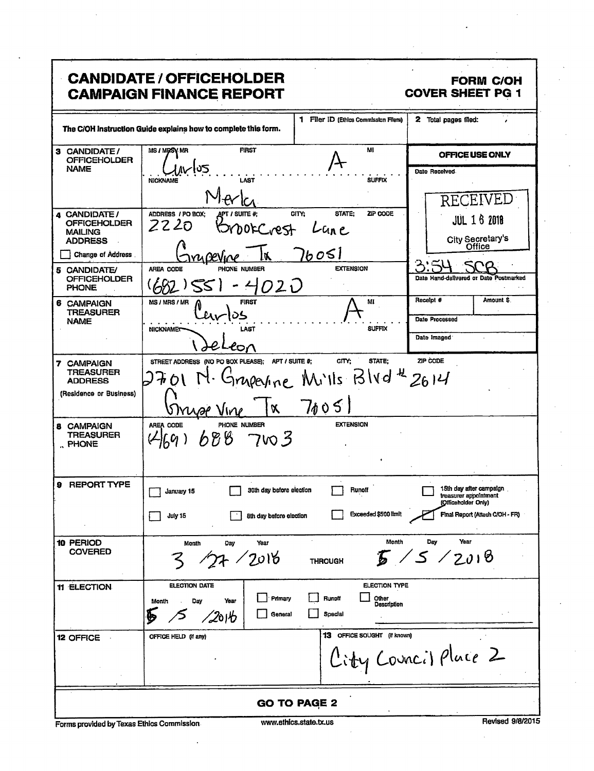| <b>CANDIDATE / OFFICEHOLDER</b><br><b>FORM C/OH</b><br><b>COVER SHEET PG 1</b><br><b>CAMPAIGN FINANCE REPORT</b> |                                                                                       |                                                                         |                                                                                                            |  |
|------------------------------------------------------------------------------------------------------------------|---------------------------------------------------------------------------------------|-------------------------------------------------------------------------|------------------------------------------------------------------------------------------------------------|--|
|                                                                                                                  | The C/OH instruction Guide explains how to complete this form.                        | 1 Filer ID (Ethics Commission Filers)                                   | 2 Total pages filed:                                                                                       |  |
| 3 CANDIDATE/<br><b>OFFICEHOLDER</b>                                                                              | <b>FIRST</b><br>MS / MRSV MR                                                          | MI                                                                      | OFFICE USE ONLY                                                                                            |  |
| <b>NAME</b>                                                                                                      | פט∤∙<br><b>NICKNAME</b><br>LAST                                                       | <b>SUFFIX</b>                                                           | Date Received<br>CEIVEL<br>RE                                                                              |  |
| 4 CANDIDATE/<br><b>OFFICEHOLDER</b><br><b>MAILING</b><br><b>ADDRESS</b>                                          | ADDRESS / PO BOX:<br>apt / Suite #:<br>2220<br>orCrest                                | CITY:<br>STATE:<br>ZIP CODE<br>-Un e                                    | <b>JUL 16 2018</b><br>City Secretary's<br>Office                                                           |  |
| <b>Change of Address</b> .                                                                                       |                                                                                       | اك00'                                                                   |                                                                                                            |  |
| 5 CANDIDATE/<br><b>OFFICEHOLDER</b><br><b>PHONE</b>                                                              | AREA CODE<br>PHONE NUMBER<br><i>020</i><br>55<br>$-2$                                 | <b>EXTENSION</b>                                                        | Date Hand-delivered or Date Postmarked                                                                     |  |
| 6 CAMPAIGN<br><b>TREASURER</b><br><b>NAME</b>                                                                    | <b>FIRST</b><br>MS / MRS / MR<br><b>NICKNAMET</b><br>LAST                             | MI<br><b>SUFFIX</b>                                                     | Receipt #<br>Amount \$.<br>Date Processed                                                                  |  |
|                                                                                                                  | CO7                                                                                   |                                                                         | Date Imaged                                                                                                |  |
| 7 CAMPAIGN<br><b>TREASURER</b><br><b>ADDRESS</b><br>(Residence or Business)                                      | STREET ADDRESS (NO PO BOX PLEASE); APT / SUITE #;<br>$\mathbf{X}$<br><b>Myse Vine</b> | CITY:<br><b>STATE:</b><br>mperine Mills Blvd <sup>4</sup> 2614<br>71051 | ZIP CODE                                                                                                   |  |
| 8 CAMPAIGN<br>TREASURER<br>RHONE                                                                                 | AREA CODE<br>PHONE NUMBER<br>$688$ 7vo 3<br>(24, 69)                                  | <b>EXTENSION</b>                                                        |                                                                                                            |  |
| 9 REPORT TYPE                                                                                                    | 30th day before election<br>January 15<br>July 15<br>8th day before election          | Runoff<br>Exceeded \$500 limit                                          | 15th day after campaign<br>treasurer appointment<br>(Officeholder Only)<br>Final Report (Attach C/OH - FR) |  |
| 10 PERIOD<br><b>COVERED</b>                                                                                      | Year<br>Month<br>Day<br>27 / 2016                                                     | Month<br><b>THROUGH</b>                                                 | Day<br>Year<br>5/5/2018                                                                                    |  |
| 11 ELECTION                                                                                                      | ELECTION DATE<br>Primary<br>Day<br>Year<br>Month<br>General<br>⁄2о1∕b                 | ELECTION TYPE<br>Runoff<br>Other<br>Description<br>Special              |                                                                                                            |  |
| 12 OFFICE                                                                                                        | OFFICE HELD (if any)                                                                  | 13 OFFICE SOUGHT (if known)                                             | City Council Place 2                                                                                       |  |
| <b>GO TO PAGE 2</b>                                                                                              |                                                                                       |                                                                         |                                                                                                            |  |

Forms provided by Texas Ethics Commission

 $\ddot{\phantom{a}}$ 

Revised 9/8/2015

÷,

 $\hat{\mathcal{A}}$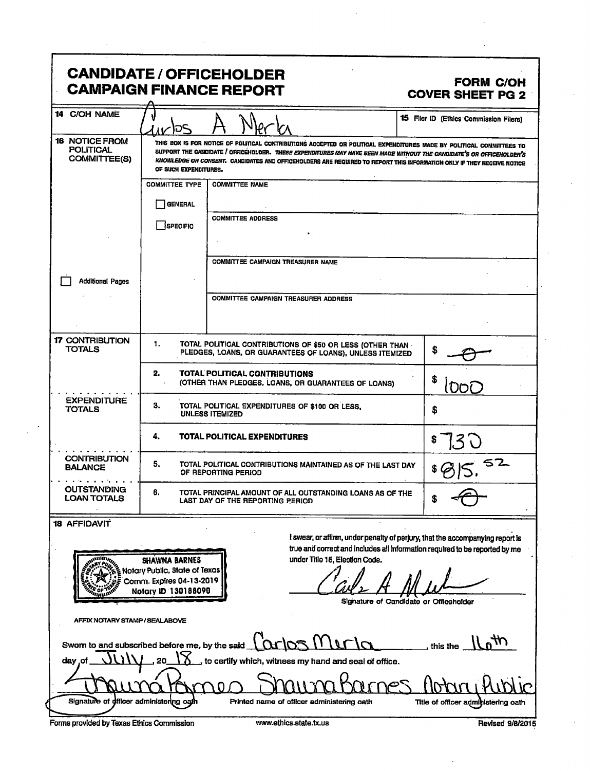|                                                                                                                                                                                                                                                                                                                                                                                   |                                                                                                                                                                                                                                                                                                                                                                                                  | <b>CANDIDATE / OFFICEHOLDER</b><br><b>CAMPAIGN FINANCE REPORT</b>                                                                                                 | <b>FORM C/OH</b><br><b>COVER SHEET PG 2</b> |
|-----------------------------------------------------------------------------------------------------------------------------------------------------------------------------------------------------------------------------------------------------------------------------------------------------------------------------------------------------------------------------------|--------------------------------------------------------------------------------------------------------------------------------------------------------------------------------------------------------------------------------------------------------------------------------------------------------------------------------------------------------------------------------------------------|-------------------------------------------------------------------------------------------------------------------------------------------------------------------|---------------------------------------------|
| 14 C/OH NAME                                                                                                                                                                                                                                                                                                                                                                      | סו                                                                                                                                                                                                                                                                                                                                                                                               |                                                                                                                                                                   | 15 Filer ID (Ethics Commission Filers)      |
| 16 NOTICE FROM<br><b>POLITICAL</b><br>COMMITTEE(S)                                                                                                                                                                                                                                                                                                                                | THIS BOX IS FOR NOTICE OF POLITICAL CONTRIBUTIONS ACCEPTED OR POLITICAL EXPENDITURES MADE BY POLITICAL COMMITTEES TO<br>SUPPORT THE CANDIDATE / OFFICEHOLDER. THESE EXPENDITURES MAY HAVE BEEN MADE WITHOUT THE CANDIDATE'S OR OFFICEHOLDER'S<br>KNOWLEDGE OR CONSENT. CANDIDATES AND OFFICEHOLDERS ARE REQUIRED TO REPORT THIS INFORMATION ONLY IF THEY RECEIVE NOTICE<br>OF SUCH EXPENDITURES. |                                                                                                                                                                   |                                             |
|                                                                                                                                                                                                                                                                                                                                                                                   | <b>COMMITTEE TYPE</b>                                                                                                                                                                                                                                                                                                                                                                            | <b>COMMITTEE NAME</b>                                                                                                                                             |                                             |
|                                                                                                                                                                                                                                                                                                                                                                                   | <b>GENERAL</b>                                                                                                                                                                                                                                                                                                                                                                                   |                                                                                                                                                                   |                                             |
|                                                                                                                                                                                                                                                                                                                                                                                   | <b>SPECIFIC</b>                                                                                                                                                                                                                                                                                                                                                                                  | <b>COMMITTEE ADDRESS</b>                                                                                                                                          |                                             |
|                                                                                                                                                                                                                                                                                                                                                                                   |                                                                                                                                                                                                                                                                                                                                                                                                  | COMMITTEE CAMPAIGN TREASURER NAME                                                                                                                                 |                                             |
|                                                                                                                                                                                                                                                                                                                                                                                   |                                                                                                                                                                                                                                                                                                                                                                                                  |                                                                                                                                                                   |                                             |
| <b>Additional Pages</b>                                                                                                                                                                                                                                                                                                                                                           |                                                                                                                                                                                                                                                                                                                                                                                                  | COMMITTEE CAMPAIGN TREASURER ADDRESS                                                                                                                              |                                             |
|                                                                                                                                                                                                                                                                                                                                                                                   |                                                                                                                                                                                                                                                                                                                                                                                                  |                                                                                                                                                                   |                                             |
| <b>17 CONTRIBUTION</b><br><b>TOTALS</b>                                                                                                                                                                                                                                                                                                                                           | 1.<br>TOTAL POLITICAL CONTRIBUTIONS OF \$50 OR LESS (OTHER THAN<br>S<br>PLEDGES, LOANS, OR GUARANTEES OF LOANS), UNLESS ITEMIZED                                                                                                                                                                                                                                                                 |                                                                                                                                                                   |                                             |
|                                                                                                                                                                                                                                                                                                                                                                                   | 2.                                                                                                                                                                                                                                                                                                                                                                                               | <b>TOTAL POLITICAL CONTRIBUTIONS</b><br>(OTHER THAN PLEDGES, LOANS, OR GUARANTEES OF LOANS)                                                                       | S<br>.DOC                                   |
| <b>EXPENDITURE</b><br><b>TOTALS</b>                                                                                                                                                                                                                                                                                                                                               | З.<br>TOTAL POLITICAL EXPENDITURES OF \$100 OR LESS.<br>s<br><b>UNLESS ITEMIZED</b>                                                                                                                                                                                                                                                                                                              |                                                                                                                                                                   |                                             |
|                                                                                                                                                                                                                                                                                                                                                                                   | 4.                                                                                                                                                                                                                                                                                                                                                                                               | TOTAL POLITICAL EXPENDITURES                                                                                                                                      |                                             |
| <b>CONTRIBUTION</b><br><b>BALANCE</b>                                                                                                                                                                                                                                                                                                                                             | 5.<br>TOTAL POLITICAL CONTRIBUTIONS MAINTAINED AS OF THE LAST DAY<br>OF REPORTING PERIOD                                                                                                                                                                                                                                                                                                         |                                                                                                                                                                   | 52                                          |
| <b>OUTSTANDING</b><br><b>LOAN TOTALS</b>                                                                                                                                                                                                                                                                                                                                          | 6.<br>TOTAL PRINCIPAL AMOUNT OF ALL OUTSTANDING LOANS AS OF THE<br>S<br>LAST DAY OF THE REPORTING PERIOD                                                                                                                                                                                                                                                                                         |                                                                                                                                                                   |                                             |
| <b>18 AFFIDAVIT</b><br>I swear, or affirm, under penalty of perjury, that the accompanying report is<br>true and correct and includes all information required to be reported by me<br>under Title 15, Election Code.<br><b>SHAWNA BARNES</b><br>Notary Public, State of Texas<br>Comm. Expires 04-13-2019<br>Notary ID 130188090<br>mm<br>Signature of Candidate or Officeholder |                                                                                                                                                                                                                                                                                                                                                                                                  |                                                                                                                                                                   |                                             |
| AFFIX NOTARY STAMP / SEALABOVE                                                                                                                                                                                                                                                                                                                                                    |                                                                                                                                                                                                                                                                                                                                                                                                  |                                                                                                                                                                   |                                             |
| day o                                                                                                                                                                                                                                                                                                                                                                             |                                                                                                                                                                                                                                                                                                                                                                                                  | Sworn to and subscribed before me, by the said $\lfloor \alpha \rfloor$ os $\lfloor \frac{1}{1} \rfloor$<br>to certify which, witness my hand and seal of office. | , this the                                  |
|                                                                                                                                                                                                                                                                                                                                                                                   | Signature of officer administering oath<br>Printed name of officer administering oath<br>Title of officer administering oath                                                                                                                                                                                                                                                                     |                                                                                                                                                                   |                                             |
|                                                                                                                                                                                                                                                                                                                                                                                   |                                                                                                                                                                                                                                                                                                                                                                                                  |                                                                                                                                                                   |                                             |

 $\bar{z}$ 

Forms provided by Texas Ethics Commission

 $\ddot{\phantom{a}}$  $\ddot{\phantom{0}}$ 

www.ethics.state.tx.us

Revised 9/8/2015

 $\bar{z}$ 

l,

 $\bar{\mathbf{r}}$ 

 $\ddot{\phantom{a}}$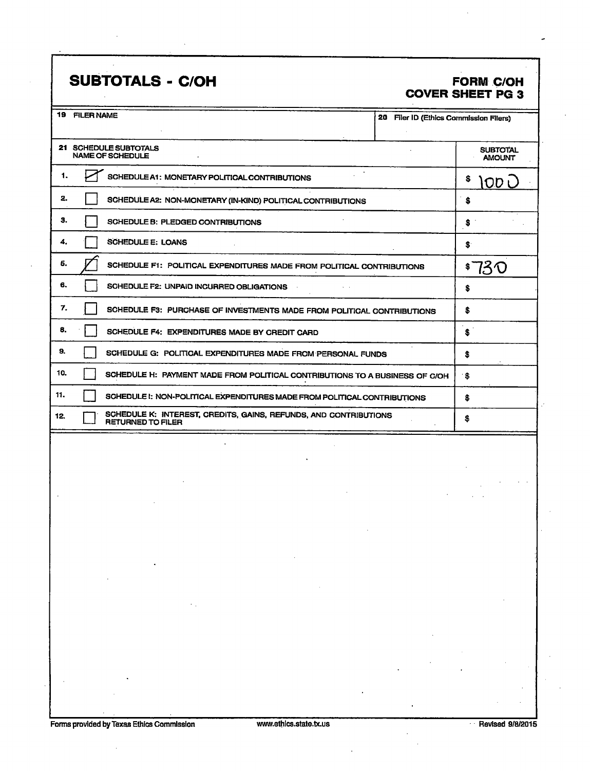## SUBTOTALS - C/OH FORM C/OH

## COVER SHEET PG 3

| 19. | <b>FILER NAME</b><br>20 Filer ID (Ethics Commission Filers)                                  |                                  |
|-----|----------------------------------------------------------------------------------------------|----------------------------------|
|     |                                                                                              |                                  |
|     | 21 SCHEDULE SUBTOTALS<br><b>NAME OF SCHEDULE</b>                                             | <b>SUBTOTAL</b><br><b>AMOUNT</b> |
| 1.  | SCHEDULE A1: MONETARY POLITICAL CONTRIBUTIONS                                                | s<br>IOD L                       |
| 2.  | SCHEDULE A2: NON-MONETARY (IN-KIND) POLITICAL CONTRIBUTIONS                                  | S                                |
| З.  | SCHEDULE B: PLEDGED CONTRIBUTIONS                                                            | S                                |
| 4.  | <b>SCHEDULE E: LOANS</b>                                                                     | S.                               |
| 5.  | SCHEDULE F1: POLITICAL EXPENDITURES MADE FROM POLITICAL CONTRIBUTIONS                        | 13 U                             |
| 6.  | SCHEDULE F2: UNPAID INCURRED OBLIGATIONS                                                     | \$                               |
| 7.  | SCHEDULE F3: PURCHASE OF INVESTMENTS MADE FROM POLITICAL CONTRIBUTIONS                       | \$                               |
| 8.  | SCHEDULE F4: EXPENDITURES MADE BY CREDIT CARD                                                | \$                               |
| 9.  | SCHEDULE G: POLITICAL EXPENDITURES MADE FROM PERSONAL FUNDS                                  | s.                               |
| 10. | SCHEDULE H: PAYMENT MADE FROM POLITICAL CONTRIBUTIONS TO A BUSINESS OF C/OH                  | S                                |
| 11. | SCHEDULE I: NON-POLITICAL EXPENDITURES MADE FROM POLITICAL CONTRIBUTIONS                     | \$                               |
| 12. | SCHEDULE K: INTEREST, CREDITS, GAINS, REFUNDS, AND CONTRIBUTIONS<br><b>RETURNED TO FILER</b> | \$                               |
|     |                                                                                              |                                  |